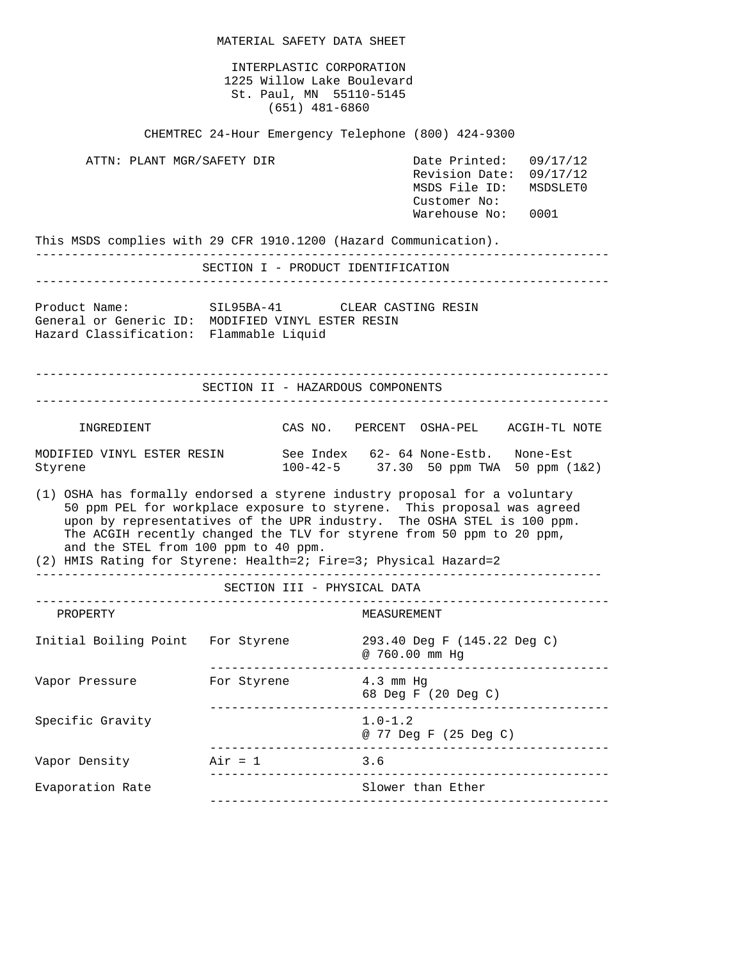MATERIAL SAFETY DATA SHEET INTERPLASTIC CORPORATION 1225 Willow Lake Boulevard St. Paul, MN 55110-5145 (651) 481-6860 CHEMTREC 24-Hour Emergency Telephone (800) 424-9300 ATTN: PLANT MGR/SAFETY DIR Date Printed: 09/17/12 Revision Date: 09/17/12 MSDS File ID: MSDSLET0 Customer No: Warehouse No: 0001 This MSDS complies with 29 CFR 1910.1200 (Hazard Communication). ------------------------------------------------------------------------------- SECTION I - PRODUCT IDENTIFICATION ------------------------------------------------------------------------------- Product Name: SIL95BA-41 CLEAR CASTING RESIN General or Generic ID: MODIFIED VINYL ESTER RESIN Hazard Classification: Flammable Liquid ------------------------------------------------------------------------------- SECTION II - HAZARDOUS COMPONENTS ------------------------------------------------------------------------------- INGREDIENT CAS NO. PERCENT OSHA-PEL ACGIH-TL NOTE MODIFIED VINYL ESTER RESIN See Index 62- 64 None-Estb. None-Est<br>Styrene 100-42-5 37.30 50 ppm TWA 50 ppm (  $100-42-5$  37.30 50 ppm TWA 50 ppm  $(1\&2)$ (1) OSHA has formally endorsed a styrene industry proposal for a voluntary 50 ppm PEL for workplace exposure to styrene. This proposal was agreed upon by representatives of the UPR industry. The OSHA STEL is 100 ppm. The ACGIH recently changed the TLV for styrene from 50 ppm to 20 ppm, and the STEL from 100 ppm to 40 ppm. (2) HMIS Rating for Styrene: Health=2; Fire=3; Physical Hazard=2 ------------------------------------------------------------------------------ SECTION III - PHYSICAL DATA ------------------------------------------------------------------------------- PROPERTY MEASUREMENT Initial Boiling Point For Styrene 293.40 Deg F (145.22 Deg C) @ 760.00 mm Hg ------------------------------------------------------- Vapor Pressure For Styrene  $4.3 \text{ mm Hg}$  68 Deg F (20 Deg C) ------------------------------------------------------- Specific Gravity 1.0-1.2 @ 77 Deg F (25 Deg C) ------------------------------------------------------- Vapor Density  $Air = 1$  3.6 ------------------------------------------------------- Evaporation Rate Slower than Ether -------------------------------------------------------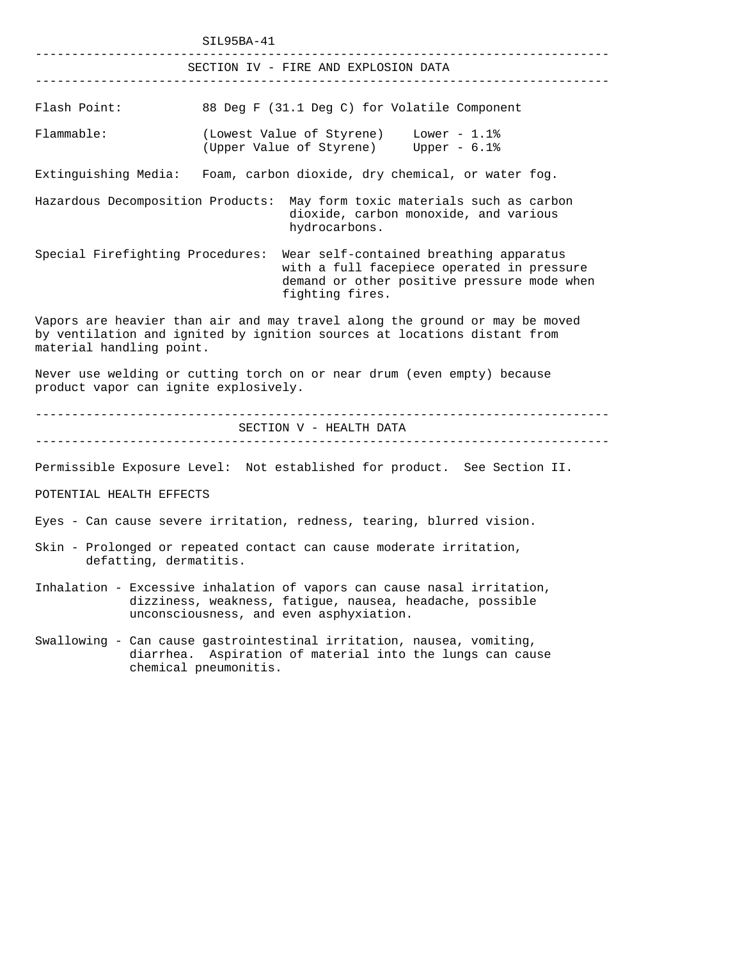|                                                                                                                  | SIL95BA-41                                                                                                                                                                     |  |  |  |  |  |  |
|------------------------------------------------------------------------------------------------------------------|--------------------------------------------------------------------------------------------------------------------------------------------------------------------------------|--|--|--|--|--|--|
|                                                                                                                  | SECTION IV - FIRE AND EXPLOSION DATA                                                                                                                                           |  |  |  |  |  |  |
| Flash Point:                                                                                                     | 88 Deg F (31.1 Deg C) for Volatile Component                                                                                                                                   |  |  |  |  |  |  |
| Flammable:                                                                                                       | (Lowest Value of Styrene) Lower - 1.1%<br>(Upper Value of Styrene) Upper - 6.1%                                                                                                |  |  |  |  |  |  |
|                                                                                                                  | Extinguishing Media: Foam, carbon dioxide, dry chemical, or water fog.                                                                                                         |  |  |  |  |  |  |
|                                                                                                                  | Hazardous Decomposition Products: May form toxic materials such as carbon<br>dioxide, carbon monoxide, and various<br>hydrocarbons.                                            |  |  |  |  |  |  |
| Special Firefighting Procedures:                                                                                 | Wear self-contained breathing apparatus<br>with a full facepiece operated in pressure<br>demand or other positive pressure mode when<br>fighting fires.                        |  |  |  |  |  |  |
| material handling point.                                                                                         | Vapors are heavier than air and may travel along the ground or may be moved<br>by ventilation and ignited by ignition sources at locations distant from                        |  |  |  |  |  |  |
| Never use welding or cutting torch on or near drum (even empty) because<br>product vapor can ignite explosively. |                                                                                                                                                                                |  |  |  |  |  |  |
|                                                                                                                  | SECTION V - HEALTH DATA                                                                                                                                                        |  |  |  |  |  |  |
| POTENTIAL HEALTH EFFECTS                                                                                         | Permissible Exposure Level: Not established for product. See Section II.                                                                                                       |  |  |  |  |  |  |
| Eyes - Can cause severe irritation, redness, tearing, blurred vision.                                            |                                                                                                                                                                                |  |  |  |  |  |  |
| defatting, dermatitis.                                                                                           | Skin - Prolonged or repeated contact can cause moderate irritation,                                                                                                            |  |  |  |  |  |  |
|                                                                                                                  | Inhalation - Excessive inhalation of vapors can cause nasal irritation,<br>dizziness, weakness, fatigue, nausea, headache, possible<br>unconsciousness, and even asphyxiation. |  |  |  |  |  |  |
| diarrhea.                                                                                                        | Swallowing - Can cause gastrointestinal irritation, nausea, vomiting,<br>Aspiration of material into the lungs can cause<br>chemical pneumonitis.                              |  |  |  |  |  |  |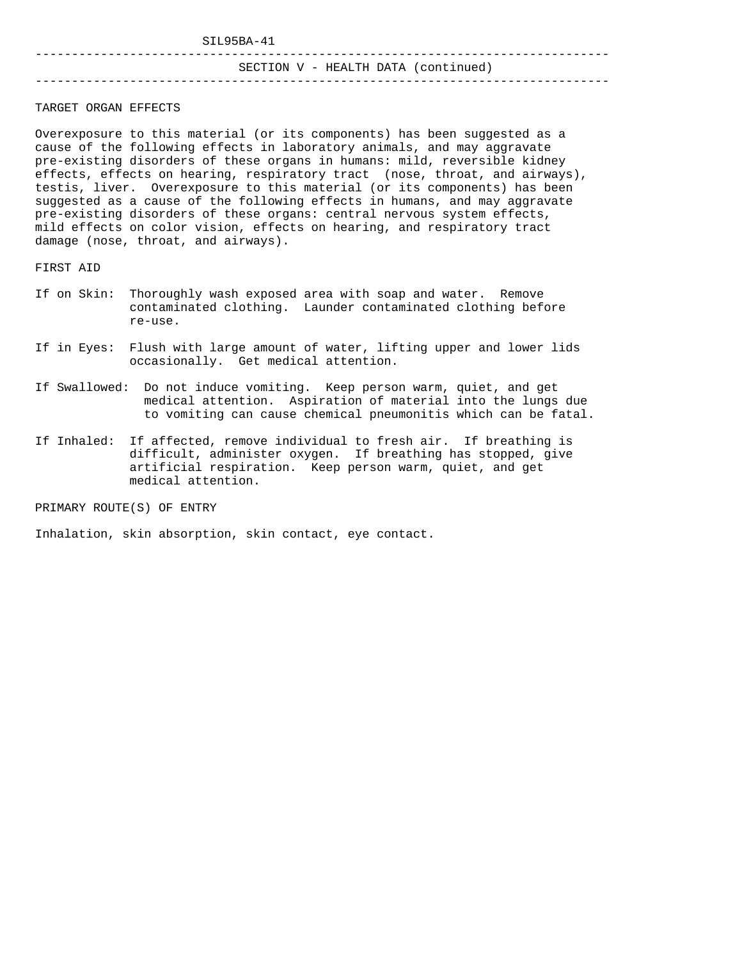SIL95BA-41

# SECTION V - HEALTH DATA (continued)

#### -------------------------------------------------------------------------------

TARGET ORGAN EFFECTS

-------------------------------------------------------------------------------

Overexposure to this material (or its components) has been suggested as a cause of the following effects in laboratory animals, and may aggravate pre-existing disorders of these organs in humans: mild, reversible kidney effects, effects on hearing, respiratory tract (nose, throat, and airways), testis, liver. Overexposure to this material (or its components) has been suggested as a cause of the following effects in humans, and may aggravate pre-existing disorders of these organs: central nervous system effects, mild effects on color vision, effects on hearing, and respiratory tract damage (nose, throat, and airways).

FIRST AID

- If on Skin: Thoroughly wash exposed area with soap and water. Remove contaminated clothing. Launder contaminated clothing before re-use.
- If in Eyes: Flush with large amount of water, lifting upper and lower lids occasionally. Get medical attention.
- If Swallowed: Do not induce vomiting. Keep person warm, quiet, and get medical attention. Aspiration of material into the lungs due to vomiting can cause chemical pneumonitis which can be fatal.
- If Inhaled: If affected, remove individual to fresh air. If breathing is difficult, administer oxygen. If breathing has stopped, give artificial respiration. Keep person warm, quiet, and get medical attention.

PRIMARY ROUTE(S) OF ENTRY

Inhalation, skin absorption, skin contact, eye contact.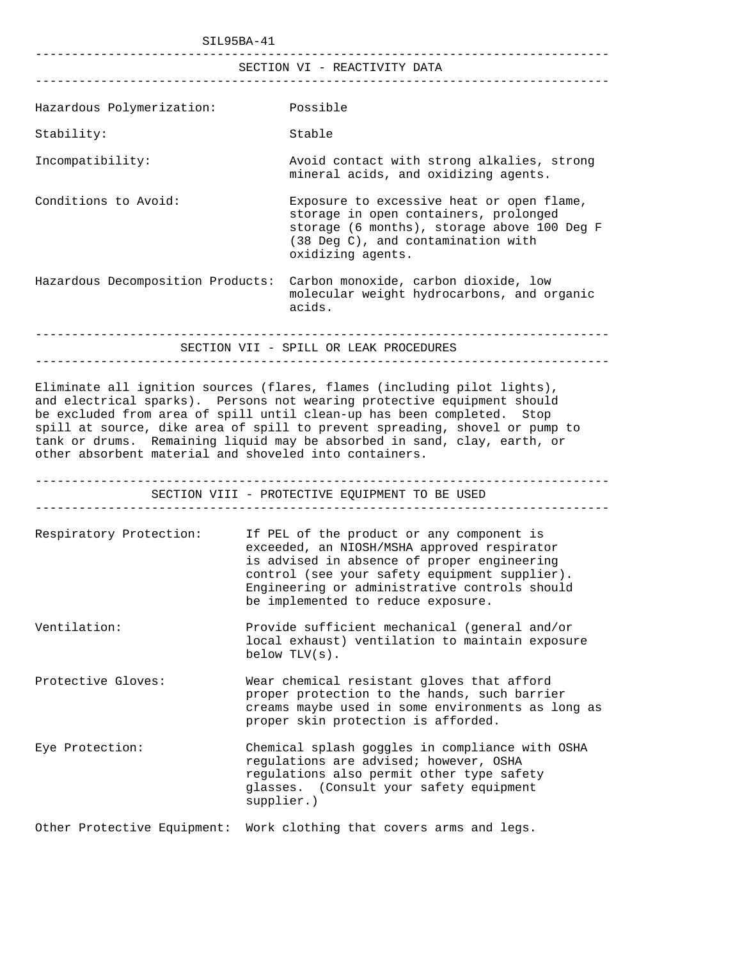SIL95BA-41 ------------------------------------------------------------------------------- SECTION VI - REACTIVITY DATA ------------------------------------------------------------------------------- Hazardous Polymerization: Possible Stability: Stable Incompatibility: Avoid contact with strong alkalies, strong mineral acids, and oxidizing agents. Conditions to Avoid: Exposure to excessive heat or open flame, storage in open containers, prolonged storage (6 months), storage above 100 Deg F (38 Deg C), and contamination with oxidizing agents. Hazardous Decomposition Products: Carbon monoxide, carbon dioxide, low molecular weight hydrocarbons, and organic acids. ------------------------------------------------------------------------------- SECTION VII - SPILL OR LEAK PROCEDURES ------------------------------------------------------------------------------- Eliminate all ignition sources (flares, flames (including pilot lights), and electrical sparks). Persons not wearing protective equipment should be excluded from area of spill until clean-up has been completed. Stop spill at source, dike area of spill to prevent spreading, shovel or pump to tank or drums. Remaining liquid may be absorbed in sand, clay, earth, or other absorbent material and shoveled into containers. ------------------------------------------------------------------------------- SECTION VIII - PROTECTIVE EQUIPMENT TO BE USED ------------------------------------------------------------------------------- Respiratory Protection: If PEL of the product or any component is exceeded, an NIOSH/MSHA approved respirator is advised in absence of proper engineering control (see your safety equipment supplier). Engineering or administrative controls should be implemented to reduce exposure. Ventilation: Provide sufficient mechanical (general and/or local exhaust) ventilation to maintain exposure below TLV(s). Protective Gloves: Wear chemical resistant gloves that afford proper protection to the hands, such barrier creams maybe used in some environments as long as proper skin protection is afforded. Eye Protection: Chemical splash goggles in compliance with OSHA regulations are advised; however, OSHA regulations also permit other type safety glasses. (Consult your safety equipment supplier.) Other Protective Equipment: Work clothing that covers arms and legs.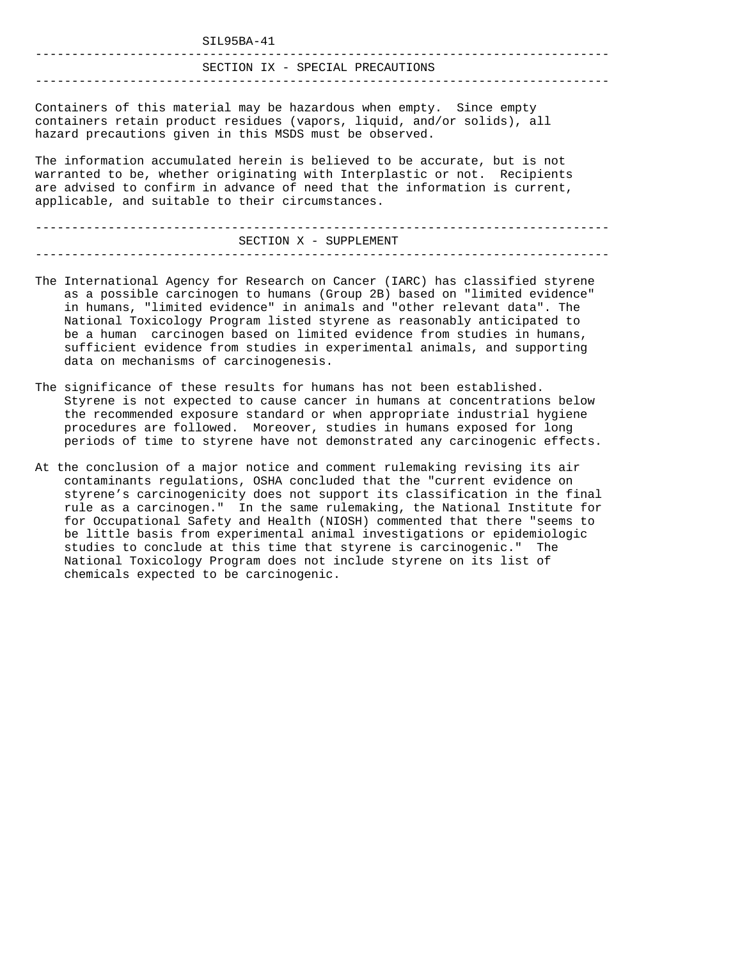| SIL95BA-41                       |
|----------------------------------|
| SECTION IX - SPECIAL PRECAUTIONS |
|                                  |

Containers of this material may be hazardous when empty. Since empty containers retain product residues (vapors, liquid, and/or solids), all hazard precautions given in this MSDS must be observed.

The information accumulated herein is believed to be accurate, but is not warranted to be, whether originating with Interplastic or not. Recipients are advised to confirm in advance of need that the information is current, applicable, and suitable to their circumstances.

------------------------------------------------------------------------------- SECTION X - SUPPLEMENT -------------------------------------------------------------------------------

- The International Agency for Research on Cancer (IARC) has classified styrene as a possible carcinogen to humans (Group 2B) based on "limited evidence" in humans, "limited evidence" in animals and "other relevant data". The National Toxicology Program listed styrene as reasonably anticipated to be a human carcinogen based on limited evidence from studies in humans, sufficient evidence from studies in experimental animals, and supporting data on mechanisms of carcinogenesis.
- The significance of these results for humans has not been established. Styrene is not expected to cause cancer in humans at concentrations below the recommended exposure standard or when appropriate industrial hygiene procedures are followed. Moreover, studies in humans exposed for long periods of time to styrene have not demonstrated any carcinogenic effects.
- At the conclusion of a major notice and comment rulemaking revising its air contaminants regulations, OSHA concluded that the "current evidence on styrene's carcinogenicity does not support its classification in the final rule as a carcinogen." In the same rulemaking, the National Institute for for Occupational Safety and Health (NIOSH) commented that there "seems to be little basis from experimental animal investigations or epidemiologic studies to conclude at this time that styrene is carcinogenic." The National Toxicology Program does not include styrene on its list of chemicals expected to be carcinogenic.